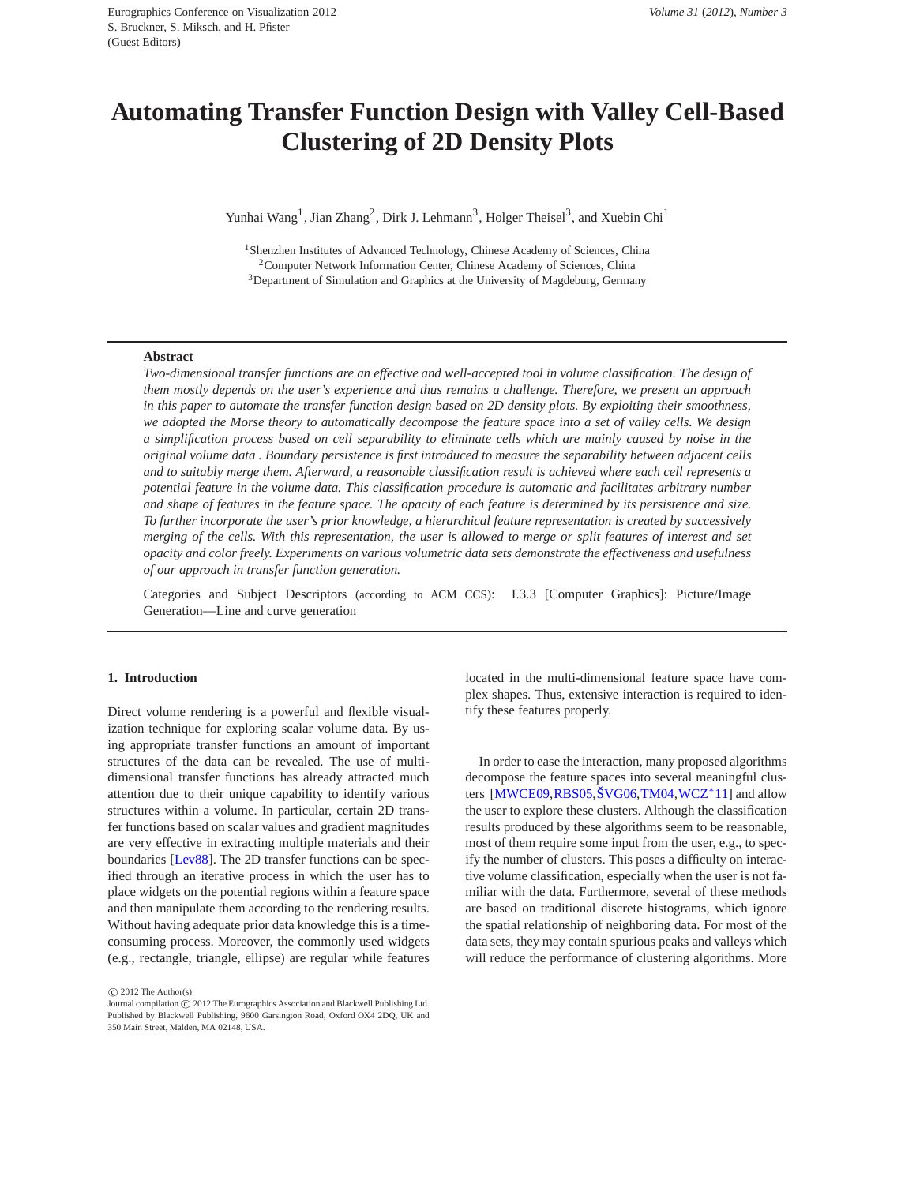# <span id="page-0-0"></span>**Automating Transfer Function Design with Valley Cell-Based Clustering of 2D Density Plots**

Yunhai Wang<sup>1</sup>, Jian Zhang<sup>2</sup>, Dirk J. Lehmann<sup>3</sup>, Holger Theisel<sup>3</sup>, and Xuebin Chi<sup>1</sup>

<sup>1</sup> Shenzhen Institutes of Advanced Technology, Chinese Academy of Sciences, China <sup>2</sup>Computer Network Information Center, Chinese Academy of Sciences, China <sup>3</sup>Department of Simulation and Graphics at the University of Magdeburg, Germany

## **Abstract**

*Two-dimensional transfer functions are an effective and well-accepted tool in volume classification. The design of them mostly depends on the user's experience and thus remains a challenge. Therefore, we present an approach in this paper to automate the transfer function design based on 2D density plots. By exploiting their smoothness, we adopted the Morse theory to automatically decompose the feature space into a set of valley cells. We design a simplification process based on cell separability to eliminate cells which are mainly caused by noise in the original volume data . Boundary persistence is first introduced to measure the separability between adjacent cells and to suitably merge them. Afterward, a reasonable classification result is achieved where each cell represents a potential feature in the volume data. This classification procedure is automatic and facilitates arbitrary number and shape of features in the feature space. The opacity of each feature is determined by its persistence and size. To further incorporate the user's prior knowledge, a hierarchical feature representation is created by successively merging of the cells. With this representation, the user is allowed to merge or split features of interest and set opacity and color freely. Experiments on various volumetric data sets demonstrate the effectiveness and usefulness of our approach in transfer function generation.*

Categories and Subject Descriptors (according to ACM CCS): I.3.3 [Computer Graphics]: Picture/Image Generation—Line and curve generation

## **1. Introduction**

Direct volume rendering is a powerful and flexible visualization technique for exploring scalar volume data. By using appropriate transfer functions an amount of important structures of the data can be revealed. The use of multidimensional transfer functions has already attracted much attention due to their unique capability to identify various structures within a volume. In particular, certain 2D transfer functions based on scalar values and gradient magnitudes are very effective in extracting multiple materials and their boundaries [\[Lev88\]](#page-9-0). The 2D transfer functions can be specified through an iterative process in which the user has to place widgets on the potential regions within a feature space and then manipulate them according to the rendering results. Without having adequate prior data knowledge this is a timeconsuming process. Moreover, the commonly used widgets (e.g., rectangle, triangle, ellipse) are regular while features

located in the multi-dimensional feature space have complex shapes. Thus, extensive interaction is required to identify these features properly.

In order to ease the interaction, many proposed algorithms decompose the feature spaces into several meaningful clus-ters [\[MWCE09,](#page-9-1)[RBS05,](#page-9-2)[ŠVG06,](#page-9-3)[TM04,](#page-9-4)[WCZ](#page-9-5)<sup>\*</sup>11] and allow the user to explore these clusters. Although the classification results produced by these algorithms seem to be reasonable, most of them require some input from the user, e.g., to specify the number of clusters. This poses a difficulty on interactive volume classification, especially when the user is not familiar with the data. Furthermore, several of these methods are based on traditional discrete histograms, which ignore the spatial relationship of neighboring data. For most of the data sets, they may contain spurious peaks and valleys which will reduce the performance of clustering algorithms. More

 $\circ$  2012 The Author(s)

Journal compilation  $\odot$  2012 The Eurographics Association and Blackwell Publishing Ltd. Published by Blackwell Publishing, 9600 Garsington Road, Oxford OX4 2DQ, UK and 350 Main Street, Malden, MA 02148, USA.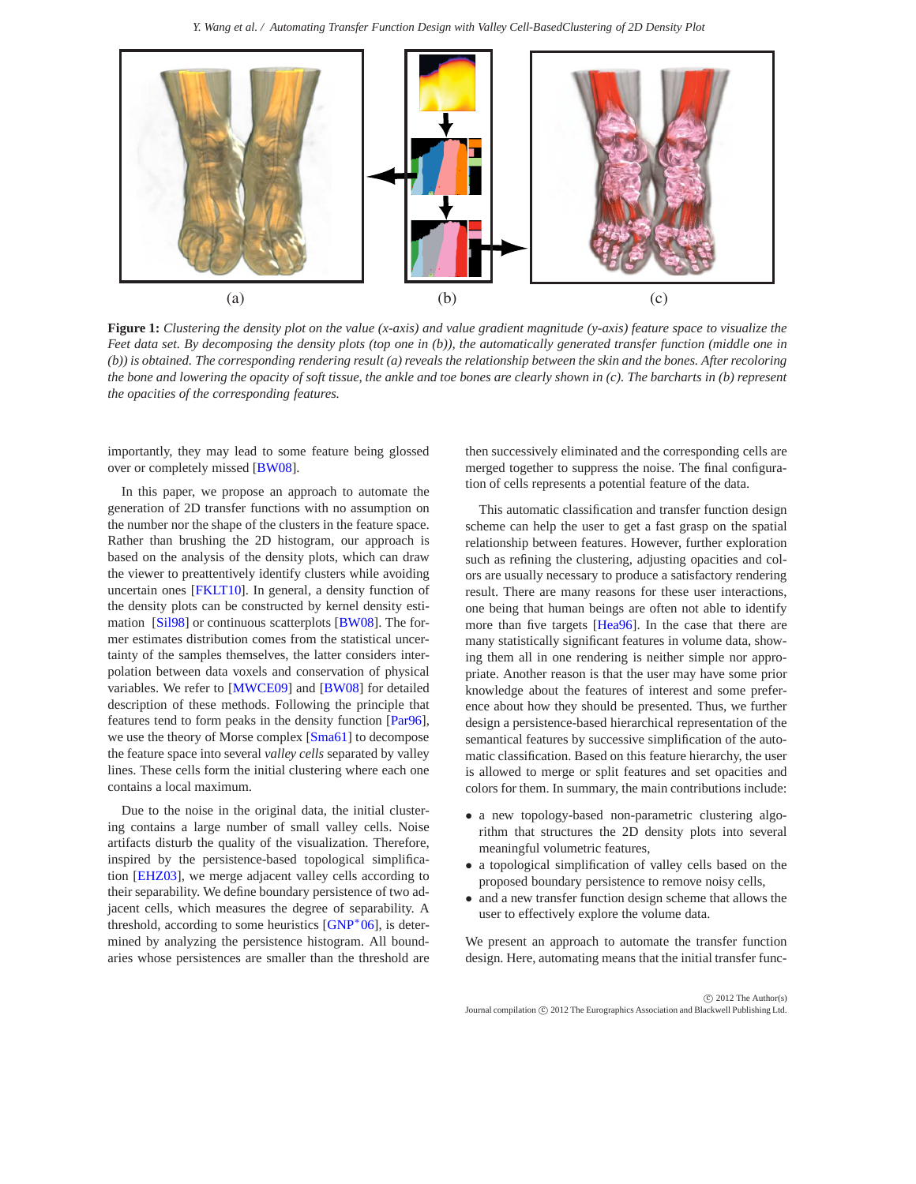<span id="page-1-1"></span>

<span id="page-1-0"></span>**Figure 1:** *Clustering the density plot on the value (x-axis) and value gradient magnitude (y-axis) feature space to visualize the Feet data set. By decomposing the density plots (top one in (b)), the automatically generated transfer function (middle one in (b)) is obtained. The corresponding rendering result (a) reveals the relationship between the skin and the bones. After recoloring the bone and lowering the opacity of soft tissue, the ankle and toe bones are clearly shown in (c). The barcharts in (b) represent the opacities of the corresponding features.*

importantly, they may lead to some feature being glossed over or completely missed [\[BW08\]](#page-7-0).

In this paper, we propose an approach to automate the generation of 2D transfer functions with no assumption on the number nor the shape of the clusters in the feature space. Rather than brushing the 2D histogram, our approach is based on the analysis of the density plots, which can draw the viewer to preattentively identify clusters while avoiding uncertain ones [\[FKLT10\]](#page-8-0). In general, a density function of the density plots can be constructed by kernel density estimation [\[Sil98\]](#page-9-6) or continuous scatterplots [\[BW08\]](#page-7-0). The former estimates distribution comes from the statistical uncertainty of the samples themselves, the latter considers interpolation between data voxels and conservation of physical variables. We refer to [\[MWCE09\]](#page-9-1) and [\[BW08\]](#page-7-0) for detailed description of these methods. Following the principle that features tend to form peaks in the density function [\[Par96\]](#page-9-7), we use the theory of Morse complex [\[Sma61\]](#page-9-8) to decompose the feature space into several *valley cells* separated by valley lines. These cells form the initial clustering where each one contains a local maximum.

Due to the noise in the original data, the initial clustering contains a large number of small valley cells. Noise artifacts disturb the quality of the visualization. Therefore, inspired by the persistence-based topological simplification [\[EHZ03\]](#page-8-1), we merge adjacent valley cells according to their separability. We define boundary persistence of two adjacent cells, which measures the degree of separability. A threshold, according to some heuristics [\[GNP](#page-8-2)<sup>∗</sup> 06], is determined by analyzing the persistence histogram. All boundaries whose persistences are smaller than the threshold are then successively eliminated and the corresponding cells are merged together to suppress the noise. The final configuration of cells represents a potential feature of the data.

This automatic classification and transfer function design scheme can help the user to get a fast grasp on the spatial relationship between features. However, further exploration such as refining the clustering, adjusting opacities and colors are usually necessary to produce a satisfactory rendering result. There are many reasons for these user interactions, one being that human beings are often not able to identify more than five targets [\[Hea96\]](#page-8-3). In the case that there are many statistically significant features in volume data, showing them all in one rendering is neither simple nor appropriate. Another reason is that the user may have some prior knowledge about the features of interest and some preference about how they should be presented. Thus, we further design a persistence-based hierarchical representation of the semantical features by successive simplification of the automatic classification. Based on this feature hierarchy, the user is allowed to merge or split features and set opacities and colors for them. In summary, the main contributions include:

- a new topology-based non-parametric clustering algorithm that structures the 2D density plots into several meaningful volumetric features,
- a topological simplification of valley cells based on the proposed boundary persistence to remove noisy cells,
- and a new transfer function design scheme that allows the user to effectively explore the volume data.

We present an approach to automate the transfer function design. Here, automating means that the initial transfer func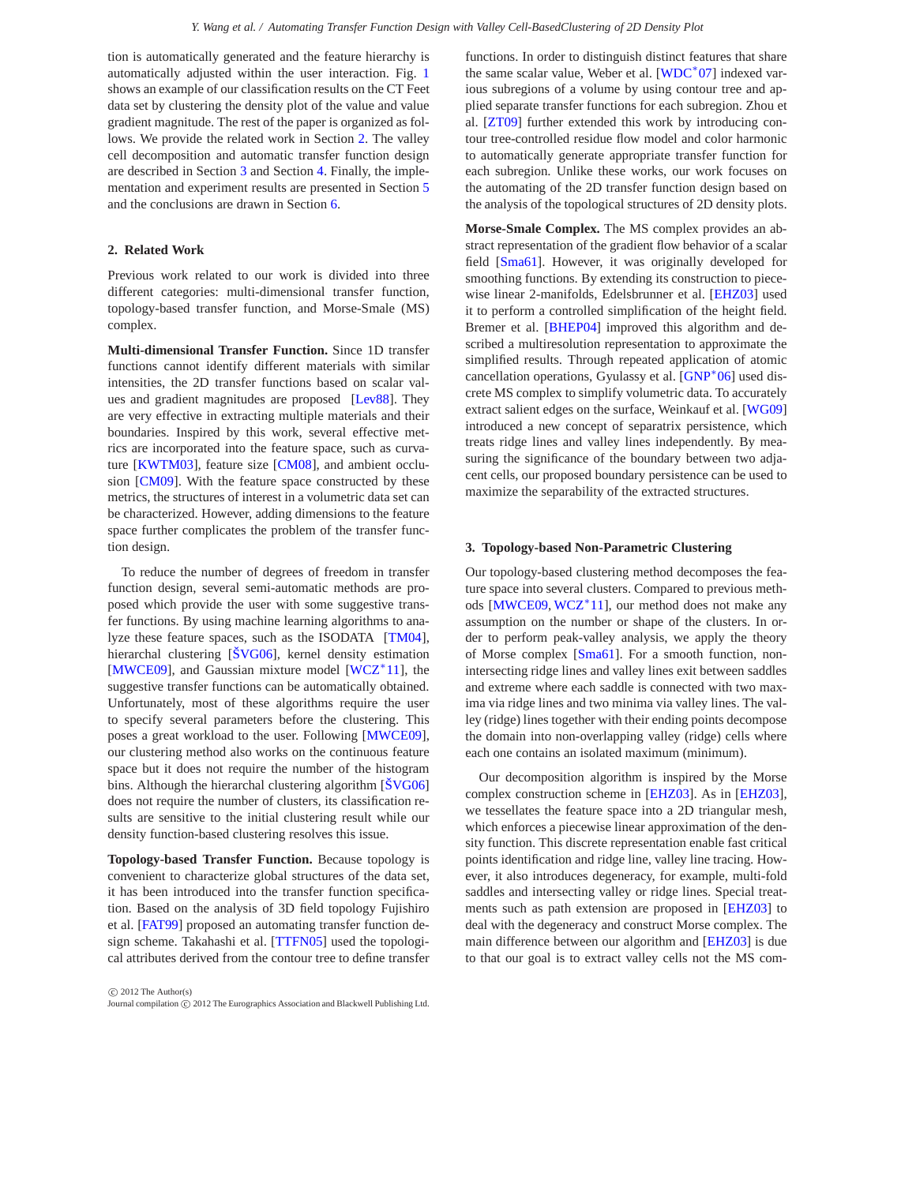<span id="page-2-2"></span>tion is automatically generated and the feature hierarchy is automatically adjusted within the user interaction. Fig. [1](#page-1-0) shows an example of our classification results on the CT Feet data set by clustering the density plot of the value and value gradient magnitude. The rest of the paper is organized as follows. We provide the related work in Section [2.](#page-2-0) The valley cell decomposition and automatic transfer function design are described in Section [3](#page-2-1) and Section [4.](#page-5-0) Finally, the implementation and experiment results are presented in Section [5](#page-6-0) and the conclusions are drawn in Section [6.](#page-7-1)

# <span id="page-2-0"></span>**2. Related Work**

Previous work related to our work is divided into three different categories: multi-dimensional transfer function, topology-based transfer function, and Morse-Smale (MS) complex.

**Multi-dimensional Transfer Function.** Since 1D transfer functions cannot identify different materials with similar intensities, the 2D transfer functions based on scalar values and gradient magnitudes are proposed [\[Lev88\]](#page-9-0). They are very effective in extracting multiple materials and their boundaries. Inspired by this work, several effective metrics are incorporated into the feature space, such as curvature [\[KWTM03\]](#page-8-4), feature size [\[CM08\]](#page-8-5), and ambient occlusion [\[CM09\]](#page-8-6). With the feature space constructed by these metrics, the structures of interest in a volumetric data set can be characterized. However, adding dimensions to the feature space further complicates the problem of the transfer function design.

To reduce the number of degrees of freedom in transfer function design, several semi-automatic methods are proposed which provide the user with some suggestive transfer functions. By using machine learning algorithms to analyze these feature spaces, such as the ISODATA [\[TM04\]](#page-9-4), hierarchal clustering [SVG06], kernel density estimation [\[MWCE09\]](#page-9-1), and Gaussian mixture model [\[WCZ](#page-9-5)<sup>∗</sup> 11], the suggestive transfer functions can be automatically obtained. Unfortunately, most of these algorithms require the user to specify several parameters before the clustering. This poses a great workload to the user. Following [\[MWCE09\]](#page-9-1), our clustering method also works on the continuous feature space but it does not require the number of the histogram bins. Although the hierarchal clustering algorithm [ $\text{\r{S}V}\text{\r{G06}}$ ] does not require the number of clusters, its classification results are sensitive to the initial clustering result while our density function-based clustering resolves this issue.

**Topology-based Transfer Function.** Because topology is convenient to characterize global structures of the data set, it has been introduced into the transfer function specification. Based on the analysis of 3D field topology Fujishiro et al. [\[FAT99\]](#page-8-7) proposed an automating transfer function design scheme. Takahashi et al. [\[TTFN05\]](#page-9-9) used the topological attributes derived from the contour tree to define transfer

 $\odot$  2012 The Author(s) Journal compilation  $\circled{c}$  2012 The Eurographics Association and Blackwell Publishing Ltd. functions. In order to distinguish distinct features that share the same scalar value, Weber et al. [\[WDC](#page-9-10)<sup>∗</sup> 07] indexed various subregions of a volume by using contour tree and applied separate transfer functions for each subregion. Zhou et al. [\[ZT09\]](#page-9-11) further extended this work by introducing contour tree-controlled residue flow model and color harmonic to automatically generate appropriate transfer function for each subregion. Unlike these works, our work focuses on the automating of the 2D transfer function design based on the analysis of the topological structures of 2D density plots.

**Morse-Smale Complex.** The MS complex provides an abstract representation of the gradient flow behavior of a scalar field [\[Sma61\]](#page-9-8). However, it was originally developed for smoothing functions. By extending its construction to piecewise linear 2-manifolds, Edelsbrunner et al. [\[EHZ03\]](#page-8-1) used it to perform a controlled simplification of the height field. Bremer et al. [\[BHEP04\]](#page-7-2) improved this algorithm and described a multiresolution representation to approximate the simplified results. Through repeated application of atomic cancellation operations, Gyulassy et al. [\[GNP](#page-8-2)<sup>∗</sup> 06] used discrete MS complex to simplify volumetric data. To accurately extract salient edges on the surface, Weinkauf et al. [\[WG09\]](#page-9-12) introduced a new concept of separatrix persistence, which treats ridge lines and valley lines independently. By measuring the significance of the boundary between two adjacent cells, our proposed boundary persistence can be used to maximize the separability of the extracted structures.

#### <span id="page-2-1"></span>**3. Topology-based Non-Parametric Clustering**

Our topology-based clustering method decomposes the feature space into several clusters. Compared to previous meth-ods [\[MWCE09,](#page-9-1) [WCZ](#page-9-5)<sup>\*</sup>11], our method does not make any assumption on the number or shape of the clusters. In order to perform peak-valley analysis, we apply the theory of Morse complex [\[Sma61\]](#page-9-8). For a smooth function, nonintersecting ridge lines and valley lines exit between saddles and extreme where each saddle is connected with two maxima via ridge lines and two minima via valley lines. The valley (ridge) lines together with their ending points decompose the domain into non-overlapping valley (ridge) cells where each one contains an isolated maximum (minimum).

Our decomposition algorithm is inspired by the Morse complex construction scheme in [\[EHZ03\]](#page-8-1). As in [\[EHZ03\]](#page-8-1), we tessellates the feature space into a 2D triangular mesh, which enforces a piecewise linear approximation of the density function. This discrete representation enable fast critical points identification and ridge line, valley line tracing. However, it also introduces degeneracy, for example, multi-fold saddles and intersecting valley or ridge lines. Special treatments such as path extension are proposed in [\[EHZ03\]](#page-8-1) to deal with the degeneracy and construct Morse complex. The main difference between our algorithm and [\[EHZ03\]](#page-8-1) is due to that our goal is to extract valley cells not the MS com-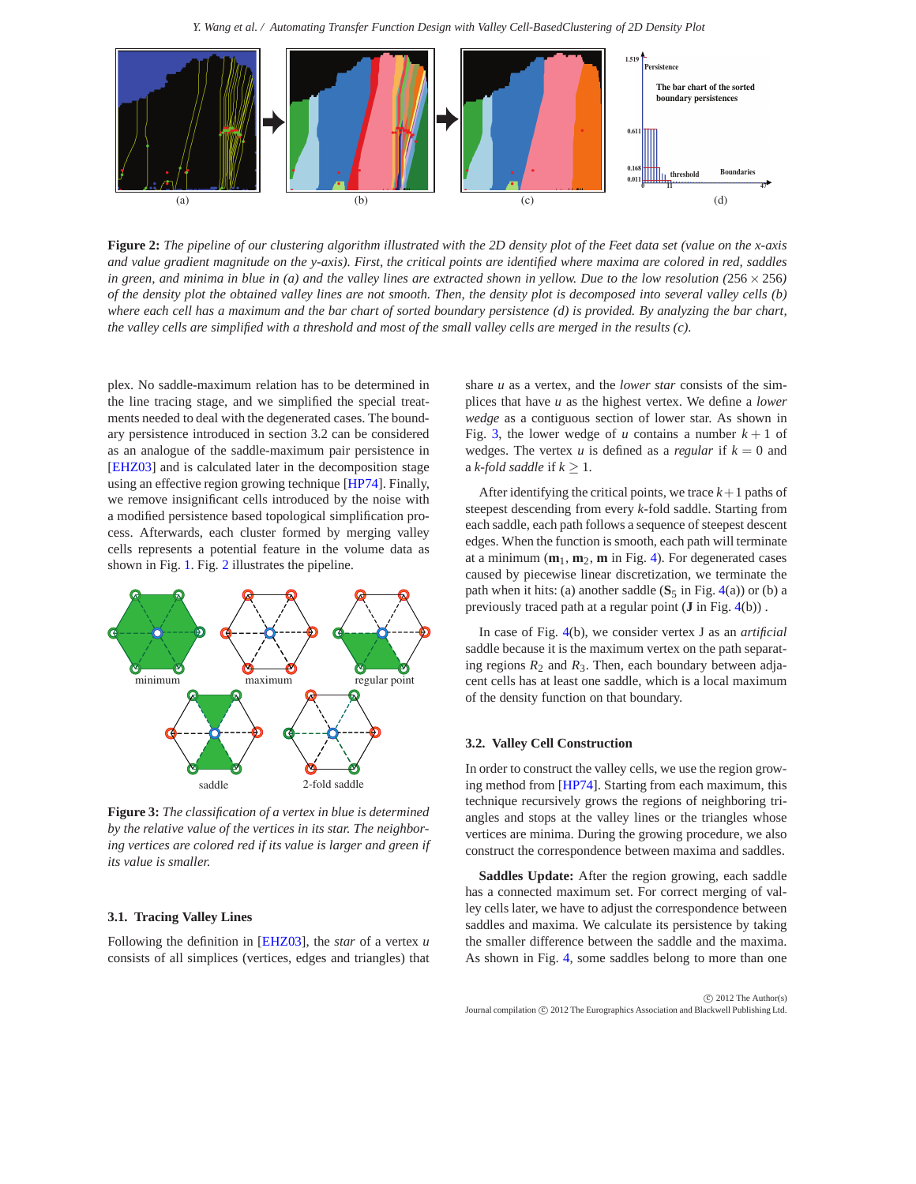<span id="page-3-2"></span>

<span id="page-3-0"></span>**Figure 2:** *The pipeline of our clustering algorithm illustrated with the 2D density plot of the Feet data set (value on the x-axis and value gradient magnitude on the y-axis). First, the critical points are identified where maxima are colored in red, saddles in green, and minima in blue in (a) and the valley lines are extracted shown in yellow. Due to the low resolution (*256 $\times$  256) *of the density plot the obtained valley lines are not smooth. Then, the density plot is decomposed into several valley cells (b) where each cell has a maximum and the bar chart of sorted boundary persistence (d) is provided. By analyzing the bar chart, the valley cells are simplified with a threshold and most of the small valley cells are merged in the results (c).*

plex. No saddle-maximum relation has to be determined in the line tracing stage, and we simplified the special treatments needed to deal with the degenerated cases. The boundary persistence introduced in section 3.2 can be considered as an analogue of the saddle-maximum pair persistence in [\[EHZ03\]](#page-8-1) and is calculated later in the decomposition stage using an effective region growing technique [\[HP74\]](#page-8-8). Finally, we remove insignificant cells introduced by the noise with a modified persistence based topological simplification process. Afterwards, each cluster formed by merging valley cells represents a potential feature in the volume data as shown in Fig. [1.](#page-1-0) Fig. [2](#page-3-0) illustrates the pipeline.



<span id="page-3-1"></span>**Figure 3:** *The classification of a vertex in blue is determined by the relative value of the vertices in its star. The neighboring vertices are colored red if its value is larger and green if its value is smaller.*

#### **3.1. Tracing Valley Lines**

Following the definition in [\[EHZ03\]](#page-8-1), the *star* of a vertex *u* consists of all simplices (vertices, edges and triangles) that

share *u* as a vertex, and the *lower star* consists of the simplices that have *u* as the highest vertex. We define a *lower wedge* as a contiguous section of lower star. As shown in Fig. [3,](#page-3-1) the lower wedge of *u* contains a number  $k + 1$  of wedges. The vertex *u* is defined as a *regular* if  $k = 0$  and a *k-fold saddle* if  $k \geq 1$ .

After identifying the critical points, we trace  $k+1$  paths of steepest descending from every *k*-fold saddle. Starting from each saddle, each path follows a sequence of steepest descent edges. When the function is smooth, each path will terminate at a minimum  $(m_1, m_2, m$  in Fig. [4\)](#page-4-0). For degenerated cases caused by piecewise linear discretization, we terminate the path when it hits: (a) another saddle  $(S_5$  in Fig. [4\(](#page-4-0)a)) or (b) a previously traced path at a regular point (**J** in Fig. [4\(](#page-4-0)b)) .

In case of Fig. [4\(](#page-4-0)b), we consider vertex J as an *artificial* saddle because it is the maximum vertex on the path separating regions  $R_2$  and  $R_3$ . Then, each boundary between adjacent cells has at least one saddle, which is a local maximum of the density function on that boundary.

#### **3.2. Valley Cell Construction**

In order to construct the valley cells, we use the region growing method from [\[HP74\]](#page-8-8). Starting from each maximum, this technique recursively grows the regions of neighboring triangles and stops at the valley lines or the triangles whose vertices are minima. During the growing procedure, we also construct the correspondence between maxima and saddles.

**Saddles Update:** After the region growing, each saddle has a connected maximum set. For correct merging of valley cells later, we have to adjust the correspondence between saddles and maxima. We calculate its persistence by taking the smaller difference between the saddle and the maxima. As shown in Fig. [4,](#page-4-0) some saddles belong to more than one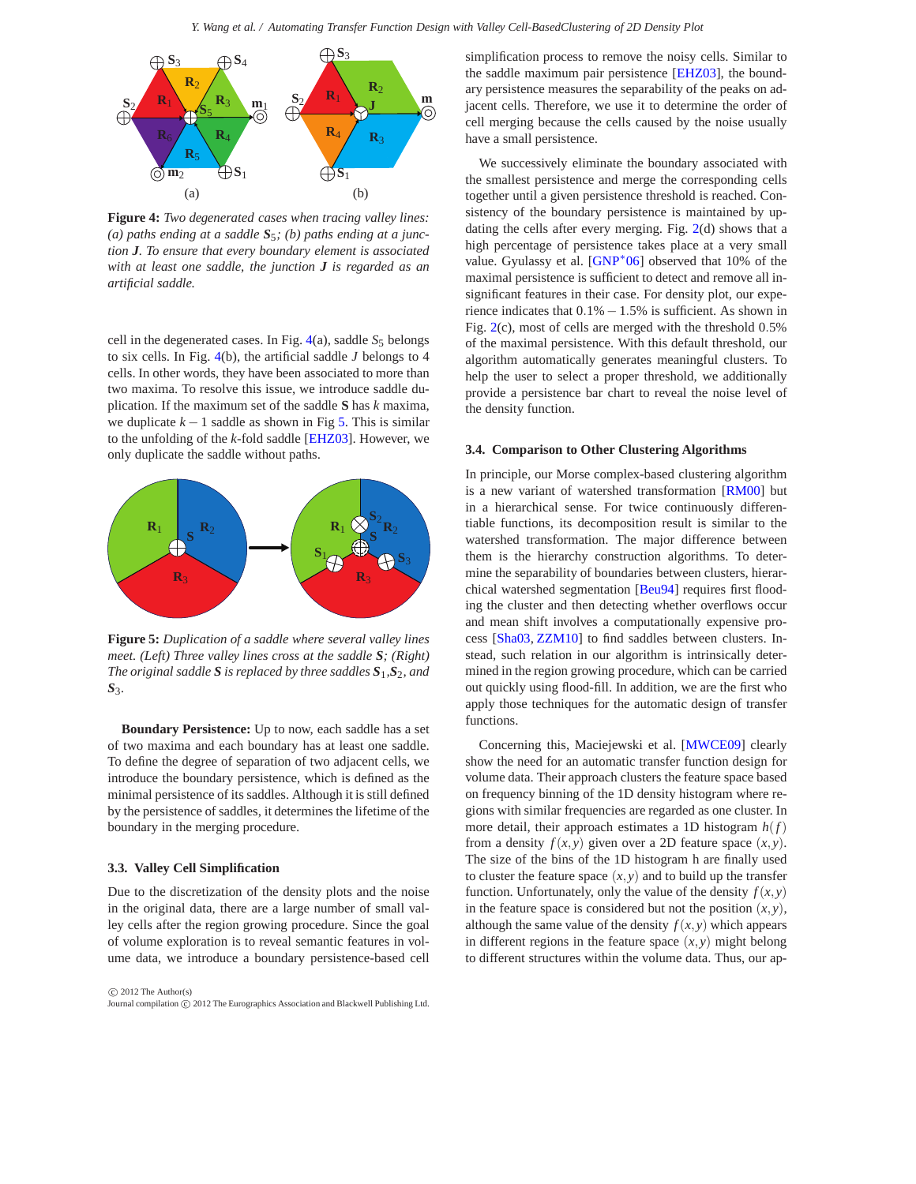<span id="page-4-3"></span>

<span id="page-4-0"></span>**Figure 4:** *Two degenerated cases when tracing valley lines: (a) paths ending at a saddle S*5*; (b) paths ending at a junction J. To ensure that every boundary element is associated with at least one saddle, the junction J is regarded as an artificial saddle.*

cell in the degenerated cases. In Fig.  $4(a)$  $4(a)$ , saddle  $S_5$  belongs to six cells. In Fig. [4\(](#page-4-0)b), the artificial saddle *J* belongs to 4 cells. In other words, they have been associated to more than two maxima. To resolve this issue, we introduce saddle duplication. If the maximum set of the saddle **S** has *k* maxima, we duplicate  $k - 1$  saddle as shown in Fig [5.](#page-4-1) This is similar to the unfolding of the *k*-fold saddle [\[EHZ03\]](#page-8-1). However, we only duplicate the saddle without paths.



<span id="page-4-1"></span>**Figure 5:** *Duplication of a saddle where several valley lines meet. (Left) Three valley lines cross at the saddle S; (Right) The original saddle S is replaced by three saddles S*1*,S*2*, and S*3*.*

**Boundary Persistence:** Up to now, each saddle has a set of two maxima and each boundary has at least one saddle. To define the degree of separation of two adjacent cells, we introduce the boundary persistence, which is defined as the minimal persistence of its saddles. Although it is still defined by the persistence of saddles, it determines the lifetime of the boundary in the merging procedure.

## **3.3. Valley Cell Simplification**

Due to the discretization of the density plots and the noise in the original data, there are a large number of small valley cells after the region growing procedure. Since the goal of volume exploration is to reveal semantic features in volume data, we introduce a boundary persistence-based cell

 c 2012 The Author(s) Journal compilation  $\circled{c}$  2012 The Eurographics Association and Blackwell Publishing Ltd. simplification process to remove the noisy cells. Similar to the saddle maximum pair persistence [\[EHZ03\]](#page-8-1), the boundary persistence measures the separability of the peaks on adjacent cells. Therefore, we use it to determine the order of cell merging because the cells caused by the noise usually have a small persistence.

We successively eliminate the boundary associated with the smallest persistence and merge the corresponding cells together until a given persistence threshold is reached. Consistency of the boundary persistence is maintained by updating the cells after every merging. Fig. [2\(](#page-3-0)d) shows that a high percentage of persistence takes place at a very small value. Gyulassy et al. [\[GNP](#page-8-2)<sup>∗</sup> 06] observed that 10% of the maximal persistence is sufficient to detect and remove all insignificant features in their case. For density plot, our experience indicates that 0.1% −1.5% is sufficient. As shown in Fig. [2\(](#page-3-0)c), most of cells are merged with the threshold 0.5% of the maximal persistence. With this default threshold, our algorithm automatically generates meaningful clusters. To help the user to select a proper threshold, we additionally provide a persistence bar chart to reveal the noise level of the density function.

### <span id="page-4-2"></span>**3.4. Comparison to Other Clustering Algorithms**

In principle, our Morse complex-based clustering algorithm is a new variant of watershed transformation [\[RM00\]](#page-9-13) but in a hierarchical sense. For twice continuously differentiable functions, its decomposition result is similar to the watershed transformation. The major difference between them is the hierarchy construction algorithms. To determine the separability of boundaries between clusters, hierarchical watershed segmentation [\[Beu94\]](#page-7-3) requires first flooding the cluster and then detecting whether overflows occur and mean shift involves a computationally expensive process [\[Sha03,](#page-9-14) [ZZM10\]](#page-9-15) to find saddles between clusters. Instead, such relation in our algorithm is intrinsically determined in the region growing procedure, which can be carried out quickly using flood-fill. In addition, we are the first who apply those techniques for the automatic design of transfer functions.

Concerning this, Maciejewski et al. [\[MWCE09\]](#page-9-1) clearly show the need for an automatic transfer function design for volume data. Their approach clusters the feature space based on frequency binning of the 1D density histogram where regions with similar frequencies are regarded as one cluster. In more detail, their approach estimates a 1D histogram *h*(*f*) from a density  $f(x, y)$  given over a 2D feature space  $(x, y)$ . The size of the bins of the 1D histogram h are finally used to cluster the feature space  $(x, y)$  and to build up the transfer function. Unfortunately, only the value of the density  $f(x, y)$ in the feature space is considered but not the position  $(x, y)$ , although the same value of the density  $f(x, y)$  which appears in different regions in the feature space (*x*, *y*) might belong to different structures within the volume data. Thus, our ap-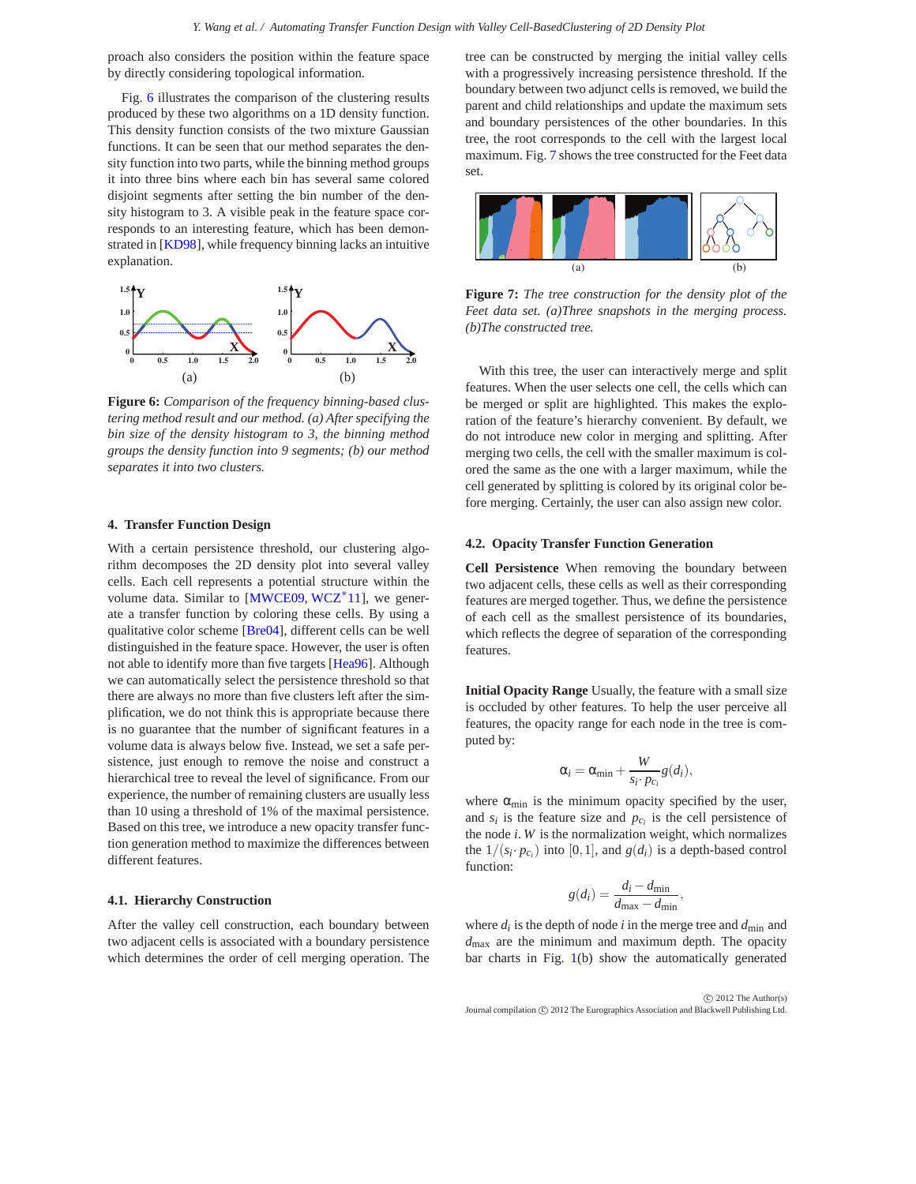<span id="page-5-3"></span>proach also considers the position within the feature space by directly considering topological information.

Fig. [6](#page-5-1) illustrates the comparison of the clustering results produced by these two algorithms on a 1D density function. This density function consists of the two mixture Gaussian functions. It can be seen that our method separates the density function into two parts, while the binning method groups it into three bins where each bin has several same colored disjoint segments after setting the bin number of the density histogram to 3. A visible peak in the feature space corresponds to an interesting feature, which has been demonstrated in [\[KD98\]](#page-8-9), while frequency binning lacks an intuitive explanation.



<span id="page-5-1"></span>**Figure 6:** *Comparison of the frequency binning-based clustering method result and our method. (a) After specifying the bin size of the density histogram to 3, the binning method groups the density function into 9 segments; (b) our method separates it into two clusters.*

# <span id="page-5-0"></span>**4. Transfer Function Design**

With a certain persistence threshold, our clustering algorithm decomposes the 2D density plot into several valley cells. Each cell represents a potential structure within the volume data. Similar to  $[MWCE09, WCZ^*11]$  $[MWCE09, WCZ^*11]$  $[MWCE09, WCZ^*11]$ , we generate a transfer function by coloring these cells. By using a qualitative color scheme [\[Bre04\]](#page-7-4), different cells can be well distinguished in the feature space. However, the user is often not able to identify more than five targets [\[Hea96\]](#page-8-3). Although we can automatically select the persistence threshold so that there are always no more than five clusters left after the simplification, we do not think this is appropriate because there is no guarantee that the number of significant features in a volume data is always below five. Instead, we set a safe persistence, just enough to remove the noise and construct a hierarchical tree to reveal the level of significance. From our experience, the number of remaining clusters are usually less than 10 using a threshold of 1% of the maximal persistence. Based on this tree, we introduce a new opacity transfer function generation method to maximize the differences between different features.

## **4.1. Hierarchy Construction**

After the valley cell construction, each boundary between two adjacent cells is associated with a boundary persistence which determines the order of cell merging operation. The tree can be constructed by merging the initial valley cells with a progressively increasing persistence threshold. If the boundary between two adjunct cells is removed, we build the parent and child relationships and update the maximum sets and boundary persistences of the other boundaries. In this tree, the root corresponds to the cell with the largest local maximum. Fig. [7](#page-5-2) shows the tree constructed for the Feet data set.



<span id="page-5-2"></span>**Figure 7:** *The tree construction for the density plot of the Feet data set. (a)Three snapshots in the merging process. (b)The constructed tree.*

With this tree, the user can interactively merge and split features. When the user selects one cell, the cells which can be merged or split are highlighted. This makes the exploration of the feature's hierarchy convenient. By default, we do not introduce new color in merging and splitting. After merging two cells, the cell with the smaller maximum is colored the same as the one with a larger maximum, while the cell generated by splitting is colored by its original color before merging. Certainly, the user can also assign new color.

### **4.2. Opacity Transfer Function Generation**

**Cell Persistence** When removing the boundary between two adjacent cells, these cells as well as their corresponding features are merged together. Thus, we define the persistence of each cell as the smallest persistence of its boundaries, which reflects the degree of separation of the corresponding features.

**Initial Opacity Range** Usually, the feature with a small size is occluded by other features. To help the user perceive all features, the opacity range for each node in the tree is computed by:

$$
\alpha_i = \alpha_{\min} + \frac{W}{s_i \cdot p_{c_i}} g(d_i),
$$

where  $\alpha_{\min}$  is the minimum opacity specified by the user, and  $s_i$  is the feature size and  $p_{c_i}$  is the cell persistence of the node *i*. *W* is the normalization weight, which normalizes the  $1/(s_i \cdot p_{c_i})$  into [0, 1], and  $g(d_i)$  is a depth-based control function:

$$
g(d_i) = \frac{d_i - d_{\min}}{d_{\max} - d_{\min}},
$$

where  $d_i$  is the depth of node  $i$  in the merge tree and  $d_{\text{min}}$  and *d*max are the minimum and maximum depth. The opacity bar charts in Fig.  $1(b)$  $1(b)$  show the automatically generated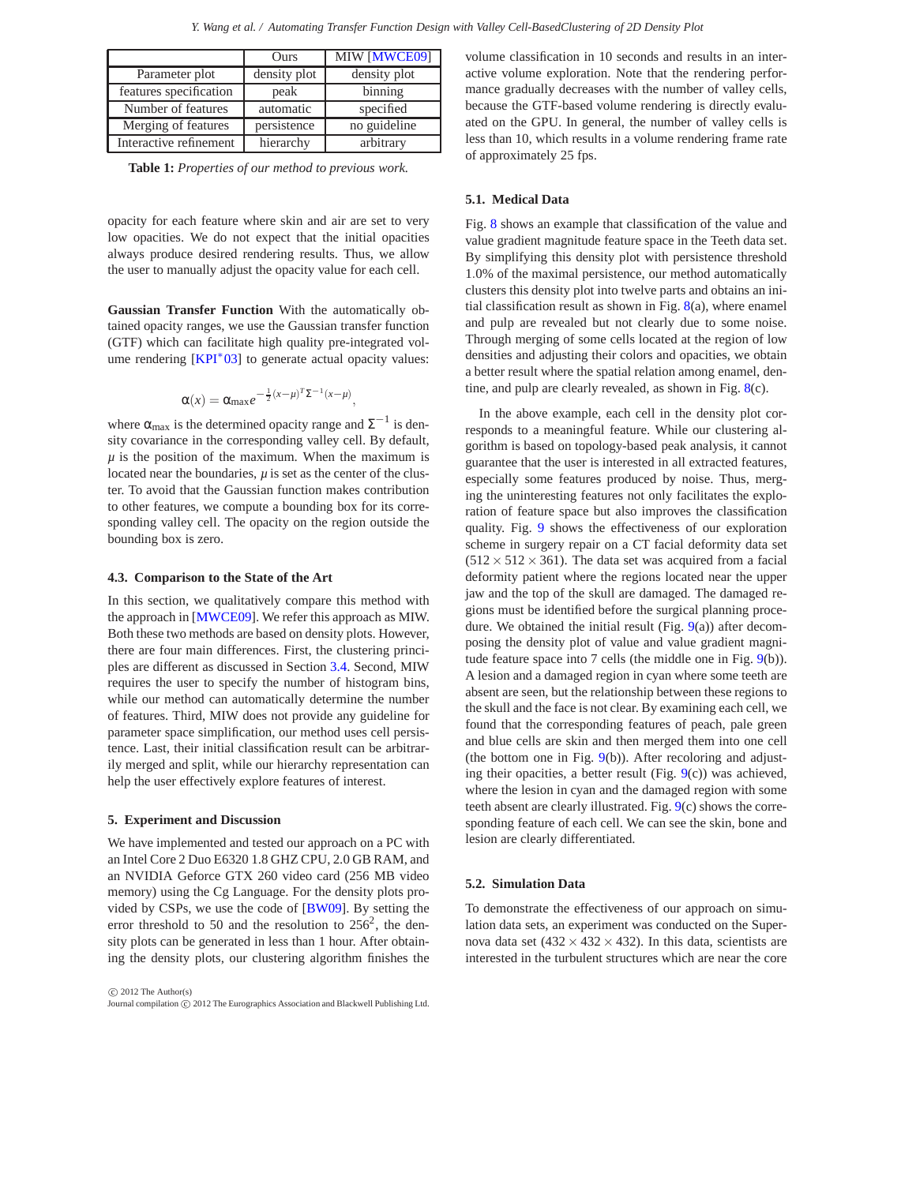<span id="page-6-1"></span>

|                        | Ours         | MIW [MWCE09] |
|------------------------|--------------|--------------|
| Parameter plot         | density plot | density plot |
| features specification | peak         | binning      |
| Number of features     | automatic    | specified    |
| Merging of features    | persistence  | no guideline |
| Interactive refinement | hierarchy    | arbitrary    |

**Table 1:** *Properties of our method to previous work.*

opacity for each feature where skin and air are set to very low opacities. We do not expect that the initial opacities always produce desired rendering results. Thus, we allow the user to manually adjust the opacity value for each cell.

**Gaussian Transfer Function** With the automatically obtained opacity ranges, we use the Gaussian transfer function (GTF) which can facilitate high quality pre-integrated volume rendering  $\left[\text{KPI}^*03\right]$  to generate actual opacity values:

$$
\alpha(x) = \alpha_{\max} e^{-\frac{1}{2}(x-\mu)^T \Sigma^{-1}(x-\mu)},
$$

where  $\alpha_{\text{max}}$  is the determined opacity range and  $\Sigma^{-1}$  is density covariance in the corresponding valley cell. By default,  $\mu$  is the position of the maximum. When the maximum is located near the boundaries,  $\mu$  is set as the center of the cluster. To avoid that the Gaussian function makes contribution to other features, we compute a bounding box for its corresponding valley cell. The opacity on the region outside the bounding box is zero.

### **4.3. Comparison to the State of the Art**

In this section, we qualitatively compare this method with the approach in [\[MWCE09\]](#page-9-1). We refer this approach as MIW. Both these two methods are based on density plots. However, there are four main differences. First, the clustering principles are different as discussed in Section [3.4.](#page-4-2) Second, MIW requires the user to specify the number of histogram bins, while our method can automatically determine the number of features. Third, MIW does not provide any guideline for parameter space simplification, our method uses cell persistence. Last, their initial classification result can be arbitrarily merged and split, while our hierarchy representation can help the user effectively explore features of interest.

### <span id="page-6-0"></span>**5. Experiment and Discussion**

We have implemented and tested our approach on a PC with an Intel Core 2 Duo E6320 1.8 GHZ CPU, 2.0 GB RAM, and an NVIDIA Geforce GTX 260 video card (256 MB video memory) using the Cg Language. For the density plots provided by CSPs, we use the code of [\[BW09\]](#page-7-5). By setting the error threshold to 50 and the resolution to  $256^2$ , the density plots can be generated in less than 1 hour. After obtaining the density plots, our clustering algorithm finishes the

 $\odot$  2012 The Author(s) Journal compilation  $\circled{c}$  2012 The Eurographics Association and Blackwell Publishing Ltd. volume classification in 10 seconds and results in an interactive volume exploration. Note that the rendering performance gradually decreases with the number of valley cells, because the GTF-based volume rendering is directly evaluated on the GPU. In general, the number of valley cells is less than 10, which results in a volume rendering frame rate of approximately 25 fps.

#### **5.1. Medical Data**

Fig. [8](#page-7-6) shows an example that classification of the value and value gradient magnitude feature space in the Teeth data set. By simplifying this density plot with persistence threshold 1.0% of the maximal persistence, our method automatically clusters this density plot into twelve parts and obtains an initial classification result as shown in Fig.  $8(a)$  $8(a)$ , where enamel and pulp are revealed but not clearly due to some noise. Through merging of some cells located at the region of low densities and adjusting their colors and opacities, we obtain a better result where the spatial relation among enamel, dentine, and pulp are clearly revealed, as shown in Fig. [8\(](#page-7-6)c).

In the above example, each cell in the density plot corresponds to a meaningful feature. While our clustering algorithm is based on topology-based peak analysis, it cannot guarantee that the user is interested in all extracted features, especially some features produced by noise. Thus, merging the uninteresting features not only facilitates the exploration of feature space but also improves the classification quality. Fig. [9](#page-8-11) shows the effectiveness of our exploration scheme in surgery repair on a CT facial deformity data set  $(512 \times 512 \times 361)$ . The data set was acquired from a facial deformity patient where the regions located near the upper jaw and the top of the skull are damaged. The damaged regions must be identified before the surgical planning procedure. We obtained the initial result (Fig.  $9(a)$  $9(a)$ ) after decomposing the density plot of value and value gradient magnitude feature space into 7 cells (the middle one in Fig. [9\(](#page-8-11)b)). A lesion and a damaged region in cyan where some teeth are absent are seen, but the relationship between these regions to the skull and the face is not clear. By examining each cell, we found that the corresponding features of peach, pale green and blue cells are skin and then merged them into one cell (the bottom one in Fig. [9\(](#page-8-11)b)). After recoloring and adjusting their opacities, a better result (Fig. [9\(](#page-8-11)c)) was achieved, where the lesion in cyan and the damaged region with some teeth absent are clearly illustrated. Fig. [9\(](#page-8-11)c) shows the corresponding feature of each cell. We can see the skin, bone and lesion are clearly differentiated.

#### **5.2. Simulation Data**

To demonstrate the effectiveness of our approach on simulation data sets, an experiment was conducted on the Supernova data set  $(432 \times 432 \times 432)$ . In this data, scientists are interested in the turbulent structures which are near the core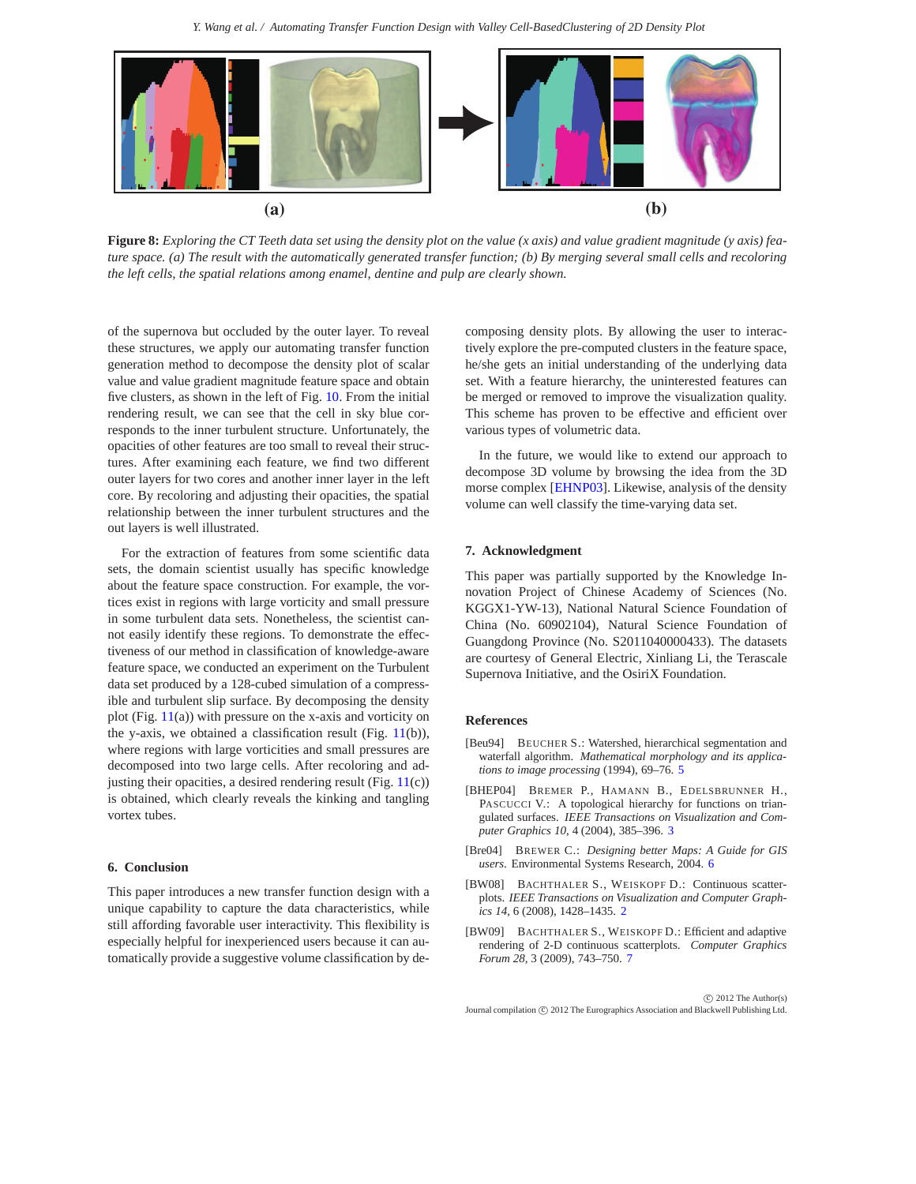<span id="page-7-7"></span>

<span id="page-7-6"></span>**Figure 8:** *Exploring the CT Teeth data set using the density plot on the value (x axis) and value gradient magnitude (y axis) feature space. (a) The result with the automatically generated transfer function; (b) By merging several small cells and recoloring the left cells, the spatial relations among enamel, dentine and pulp are clearly shown.*

of the supernova but occluded by the outer layer. To reveal these structures, we apply our automating transfer function generation method to decompose the density plot of scalar value and value gradient magnitude feature space and obtain five clusters, as shown in the left of Fig. [10.](#page-9-16) From the initial rendering result, we can see that the cell in sky blue corresponds to the inner turbulent structure. Unfortunately, the opacities of other features are too small to reveal their structures. After examining each feature, we find two different outer layers for two cores and another inner layer in the left core. By recoloring and adjusting their opacities, the spatial relationship between the inner turbulent structures and the out layers is well illustrated.

For the extraction of features from some scientific data sets, the domain scientist usually has specific knowledge about the feature space construction. For example, the vortices exist in regions with large vorticity and small pressure in some turbulent data sets. Nonetheless, the scientist cannot easily identify these regions. To demonstrate the effectiveness of our method in classification of knowledge-aware feature space, we conducted an experiment on the Turbulent data set produced by a 128-cubed simulation of a compressible and turbulent slip surface. By decomposing the density plot (Fig.  $11(a)$  $11(a)$ ) with pressure on the x-axis and vorticity on the y-axis, we obtained a classification result (Fig. [11\(](#page-9-17)b)), where regions with large vorticities and small pressures are decomposed into two large cells. After recoloring and ad-justing their opacities, a desired rendering result (Fig. [11\(](#page-9-17)c)) is obtained, which clearly reveals the kinking and tangling vortex tubes.

## <span id="page-7-1"></span>**6. Conclusion**

This paper introduces a new transfer function design with a unique capability to capture the data characteristics, while still affording favorable user interactivity. This flexibility is especially helpful for inexperienced users because it can automatically provide a suggestive volume classification by decomposing density plots. By allowing the user to interactively explore the pre-computed clusters in the feature space, he/she gets an initial understanding of the underlying data set. With a feature hierarchy, the uninterested features can be merged or removed to improve the visualization quality. This scheme has proven to be effective and efficient over various types of volumetric data.

In the future, we would like to extend our approach to decompose 3D volume by browsing the idea from the 3D morse complex [\[EHNP03\]](#page-8-12). Likewise, analysis of the density volume can well classify the time-varying data set.

### **7. Acknowledgment**

This paper was partially supported by the Knowledge Innovation Project of Chinese Academy of Sciences (No. KGGX1-YW-13), National Natural Science Foundation of China (No. 60902104), Natural Science Foundation of Guangdong Province (No. S2011040000433). The datasets are courtesy of General Electric, Xinliang Li, the Terascale Supernova Initiative, and the OsiriX Foundation.

#### **References**

- <span id="page-7-3"></span>[Beu94] BEUCHER S.: Watershed, hierarchical segmentation and waterfall algorithm. *Mathematical morphology and its applications to image processing* (1994), 69–76. [5](#page-4-3)
- <span id="page-7-2"></span>[BHEP04] BREMER P., HAMANN B., EDELSBRUNNER H., PASCUCCI V.: A topological hierarchy for functions on triangulated surfaces. *IEEE Transactions on Visualization and Computer Graphics 10*, 4 (2004), 385–396. [3](#page-2-2)
- <span id="page-7-4"></span>[Bre04] BREWER C.: *Designing better Maps: A Guide for GIS users*. Environmental Systems Research, 2004. [6](#page-5-3)
- <span id="page-7-0"></span>[BW08] BACHTHALER S., WEISKOPF D.: Continuous scatterplots. *IEEE Transactions on Visualization and Computer Graphics 14*, 6 (2008), 1428–1435. [2](#page-1-1)
- <span id="page-7-5"></span>[BW09] BACHTHALER S., WEISKOPF D.: Efficient and adaptive rendering of 2-D continuous scatterplots. *Computer Graphics Forum 28*, 3 (2009), 743–750. [7](#page-6-1)

 $\circ$  2012 The Author(s) Journal compilation  $\odot$  2012 The Eurographics Association and Blackwell Publishing Ltd.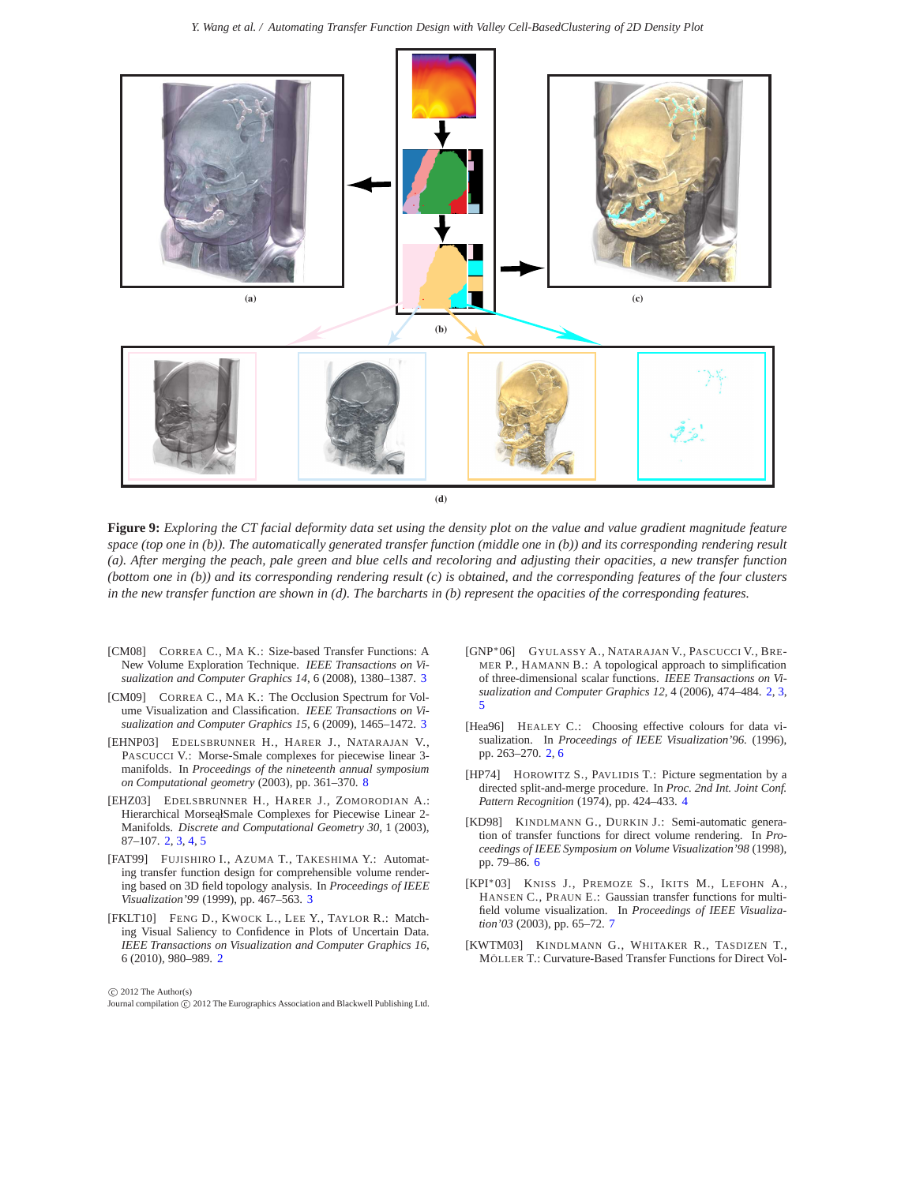

<span id="page-8-11"></span>**Figure 9:** *Exploring the CT facial deformity data set using the density plot on the value and value gradient magnitude feature space (top one in (b)). The automatically generated transfer function (middle one in (b)) and its corresponding rendering result (a). After merging the peach, pale green and blue cells and recoloring and adjusting their opacities, a new transfer function (bottom one in (b)) and its corresponding rendering result (c) is obtained, and the corresponding features of the four clusters in the new transfer function are shown in (d). The barcharts in (b) represent the opacities of the corresponding features.*

- <span id="page-8-5"></span>[CM08] CORREA C., MA K.: Size-based Transfer Functions: A New Volume Exploration Technique. *IEEE Transactions on Visualization and Computer Graphics 14*, 6 (2008), 1380–1387. [3](#page-2-2)
- <span id="page-8-6"></span>[CM09] CORREA C., MA K.: The Occlusion Spectrum for Volume Visualization and Classification. *IEEE Transactions on Visualization and Computer Graphics 15*, 6 (2009), 1465–1472. [3](#page-2-2)
- <span id="page-8-12"></span>[EHNP03] EDELSBRUNNER H., HARER J., NATARAJAN V., PASCUCCI V.: Morse-Smale complexes for piecewise linear 3 manifolds. In *Proceedings of the nineteenth annual symposium on Computational geometry* (2003), pp. 361–370. [8](#page-7-7)
- <span id="page-8-1"></span>[EHZ03] EDELSBRUNNER H., HARER J., ZOMORODIAN A.: Hierarchical MorsealSmale Complexes for Piecewise Linear 2-Manifolds. *Discrete and Computational Geometry 30*, 1 (2003), 87–107. [2,](#page-1-1) [3,](#page-2-2) [4,](#page-3-2) [5](#page-4-3)
- <span id="page-8-7"></span>[FAT99] FUJISHIRO I., AZUMA T., TAKESHIMA Y.: Automating transfer function design for comprehensible volume rendering based on 3D field topology analysis. In *Proceedings of IEEE Visualization'99* (1999), pp. 467–563. [3](#page-2-2)
- <span id="page-8-0"></span>[FKLT10] FENG D., KWOCK L., LEE Y., TAYLOR R.: Matching Visual Saliency to Confidence in Plots of Uncertain Data. *IEEE Transactions on Visualization and Computer Graphics 16*, 6 (2010), 980–989. [2](#page-1-1)

 $\odot$  2012 The Author(s)

Journal compilation  $\odot$  2012 The Eurographics Association and Blackwell Publishing Ltd.

- <span id="page-8-2"></span>[GNP∗06] GYULASSY A., NATARAJAN V., PASCUCCI V., BRE-MER P., HAMANN B.: A topological approach to simplification of three-dimensional scalar functions. *IEEE Transactions on Visualization and Computer Graphics 12*, 4 (2006), 474–484. [2,](#page-1-1) [3,](#page-2-2) [5](#page-4-3)
- <span id="page-8-3"></span>[Hea96] HEALEY C.: Choosing effective colours for data visualization. In *Proceedings of IEEE Visualization'96.* (1996), pp. 263–270. [2,](#page-1-1) [6](#page-5-3)
- <span id="page-8-8"></span>[HP74] HOROWITZ S., PAVLIDIS T.: Picture segmentation by a directed split-and-merge procedure. In *Proc. 2nd Int. Joint Conf. Pattern Recognition* (1974), pp. 424–433. [4](#page-3-2)
- <span id="page-8-9"></span>[KD98] KINDLMANN G., DURKIN J.: Semi-automatic generation of transfer functions for direct volume rendering. In *Proceedings of IEEE Symposium on Volume Visualization'98* (1998), pp. 79–86. [6](#page-5-3)
- <span id="page-8-10"></span>[KPI∗03] KNISS J., PREMOZE S., IKITS M., LEFOHN A., HANSEN C., PRAUN E.: Gaussian transfer functions for multifield volume visualization. In *Proceedings of IEEE Visualization'03* (2003), pp. 65–72. [7](#page-6-1)
- <span id="page-8-4"></span>[KWTM03] KINDLMANN G., WHITAKER R., TASDIZEN T., MÖLLER T.: Curvature-Based Transfer Functions for Direct Vol-